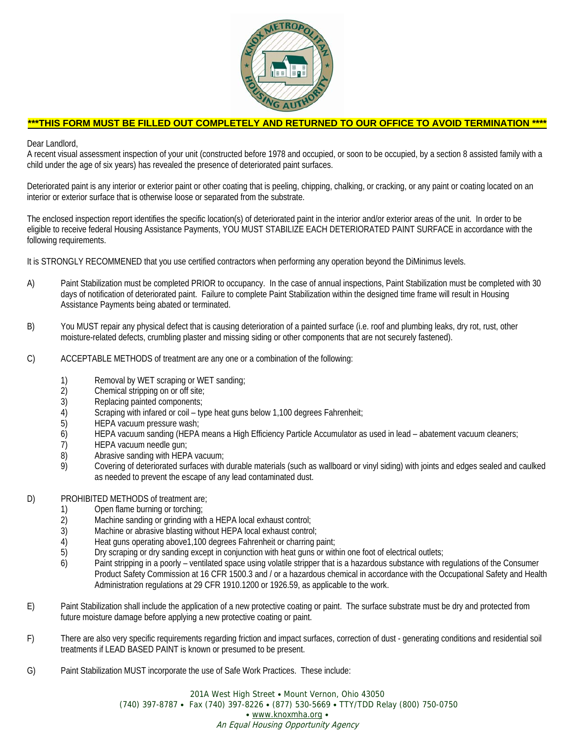

## **\*\*\*THIS FORM MUST BE FILLED OUT COMPLETELY AND RETURNED TO OUR OFFICE TO AVOID TERMINATION \*\*\*\***

Dear Landlord,

A recent visual assessment inspection of your unit (constructed before 1978 and occupied, or soon to be occupied, by a section 8 assisted family with a child under the age of six years) has revealed the presence of deteriorated paint surfaces.

Deteriorated paint is any interior or exterior paint or other coating that is peeling, chipping, chalking, or cracking, or any paint or coating located on an interior or exterior surface that is otherwise loose or separated from the substrate.

The enclosed inspection report identifies the specific location(s) of deteriorated paint in the interior and/or exterior areas of the unit. In order to be eligible to receive federal Housing Assistance Payments, YOU MUST STABILIZE EACH DETERIORATED PAINT SURFACE in accordance with the following requirements.

It is STRONGLY RECOMMENED that you use certified contractors when performing any operation beyond the DiMinimus levels.

- A) Paint Stabilization must be completed PRIOR to occupancy. In the case of annual inspections, Paint Stabilization must be completed with 30 days of notification of deteriorated paint. Failure to complete Paint Stabilization within the designed time frame will result in Housing Assistance Payments being abated or terminated.
- B) You MUST repair any physical defect that is causing deterioration of a painted surface (i.e. roof and plumbing leaks, dry rot, rust, other moisture-related defects, crumbling plaster and missing siding or other components that are not securely fastened).
- C) ACCEPTABLE METHODS of treatment are any one or a combination of the following:
	- 1) Removal by WET scraping or WET sanding;<br>2) Chemical stripping on or off site;
	- Chemical stripping on or off site;
	- 3) Replacing painted components;
	- 4) Scraping with infared or coil type heat guns below 1,100 degrees Fahrenheit;<br>5) HEPA vacuum pressure wash;
	- HEPA vacuum pressure wash;
	- 6) HEPA vacuum sanding (HEPA means a High Efficiency Particle Accumulator as used in lead abatement vacuum cleaners;
	- 7) HEPA vacuum needle gun;<br>8) Abrasive sanding with HEP.
	- Abrasive sanding with HEPA vacuum;
	- 9) Covering of deteriorated surfaces with durable materials (such as wallboard or vinyl siding) with joints and edges sealed and caulked as needed to prevent the escape of any lead contaminated dust.
- D) PROHIBITED METHODS of treatment are;
	- 1) Open flame burning or torching;<br>2) Machine sanding or grinding with
	- Machine sanding or grinding with a HEPA local exhaust control;
	- 3) Machine or abrasive blasting without HEPA local exhaust control;<br>4) Heat guns operating above 1,100 degrees Fahrenheit or charring
	- Heat guns operating above1,100 degrees Fahrenheit or charring paint;
	- 5) Dry scraping or dry sanding except in conjunction with heat guns or within one foot of electrical outlets;
	- 6) Paint stripping in a poorly ventilated space using volatile stripper that is a hazardous substance with regulations of the Consumer Product Safety Commission at 16 CFR 1500.3 and / or a hazardous chemical in accordance with the Occupational Safety and Health Administration regulations at 29 CFR 1910.1200 or 1926.59, as applicable to the work.
- E) Paint Stabilization shall include the application of a new protective coating or paint. The surface substrate must be dry and protected from future moisture damage before applying a new protective coating or paint.
- F) There are also very specific requirements regarding friction and impact surfaces, correction of dust generating conditions and residential soil treatments if LEAD BASED PAINT is known or presumed to be present.
- G) Paint Stabilization MUST incorporate the use of Safe Work Practices. These include:

201A West High Street • Mount Vernon, Ohio 43050 (740) 397-8787 y Fax (740) 397-8226 y (877) 530-5669 y TTY/TDD Relay (800) 750-0750 • www.knoxmha.org • An Equal Housing Opportunity Agency